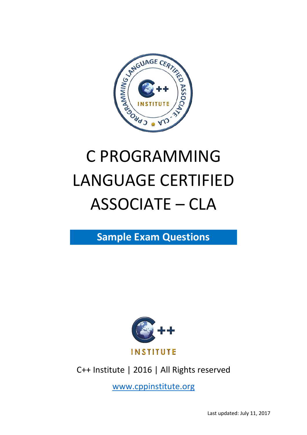

# C PROGRAMMING LANGUAGE CERTIFIED ASSOCIATE – CLA

**Sample Exam Questions**



C++ Institute | 2016 | All Rights reserved

[www.cppinstitute.org](http://www.cppinstitute.org/)

Last updated: July 11, 2017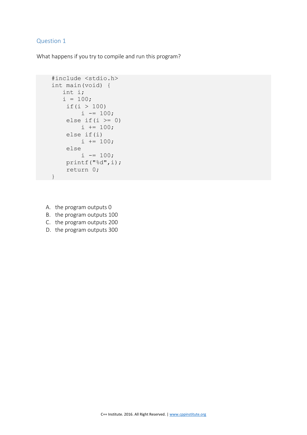```
 #include <stdio.h>
     int main(void) { 
       int i; 
      i = 100;if(i > 100)
            i -= 100;
        else if(i >= 0)
            i \neq 100; else if(i) 
            i \neq 100; else 
            i = 100; printf("%d",i); 
         return 0; 
 }
```
- A. the program outputs 0
- B. the program outputs 100
- C. the program outputs 200
- D. the program outputs 300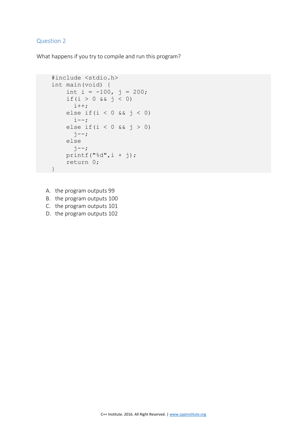What happens if you try to compile and run this program?

```
 #include <stdio.h>
     int main(void) { 
        int i = -100, j = 200;
        if(i > 0 \& 0 \leq j \leq 0)
          i++;
        else if(i < 0 && j < 0)
          i--;
        else if(i < 0 && j > 0)
          \dot{z} else
          j--;printf("%d",i + j);
         return 0; 
 }
```
A. the program outputs 99

B. the program outputs 100

C. the program outputs 101

D. the program outputs 102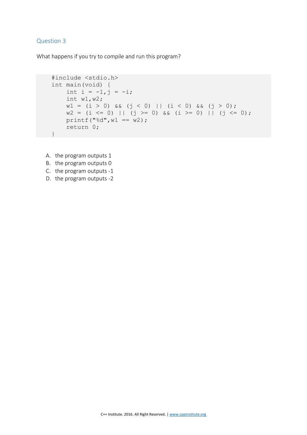```
 #include <stdio.h>
    int main(void) { 
       int i = -1, j = -i; int w1,w2; 
        w1 = (i > 0) & (y < 0) || (k < 0) & (y > 0);
       w2 = (i \le 0) || (j \ge 0) && (i \ge 0) || (j \le 0);
        print(f("%d", w1 == w2); return 0;
 }
```
- A. the program outputs 1
- B. the program outputs 0
- C. the program outputs -1
- D. the program outputs -2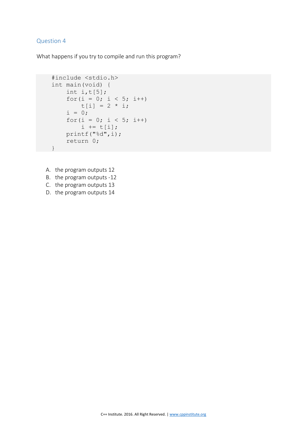```
 #include <stdio.h>
    int main(void) { 
       int i,t[5];
       for(i = 0; i < 5; i++)
           t[i] = 2 * i;i = 0;for (i = 0; i < 5; i++)i := t[i]; printf("%d",i); 
        return 0; 
 }
```
- A. the program outputs 12
- B. the program outputs -12
- C. the program outputs 13
- D. the program outputs 14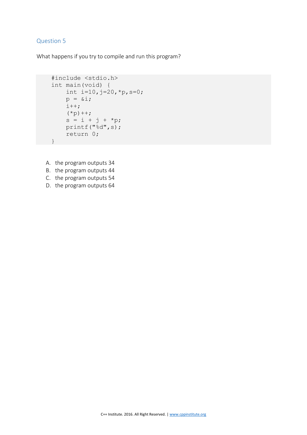```
#include <stdio.h>
int main(void) { 
    int i=10, j=20, *p, s=0;
    p = \&i; i++; 
    (*p)++;s = i + j + *p; printf("%d",s); 
     return 0; 
}
```
- A. the program outputs 34
- B. the program outputs 44
- C. the program outputs 54
- D. the program outputs 64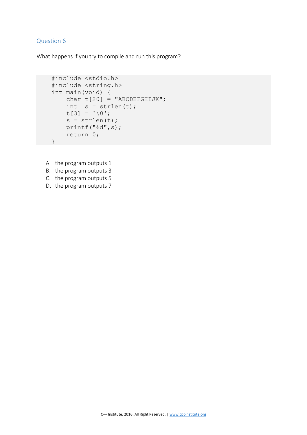```
 #include <stdio.h>
    #include <string.h>
    int main(void) { 
       char t[20] = "ABCDEFGHIJK";int s = strlen(t);
       t[3] = ' \ 0';s = strlen(t); printf("%d",s); 
        return 0; 
 }
```
- A. the program outputs 1
- B. the program outputs 3
- C. the program outputs 5
- D. the program outputs 7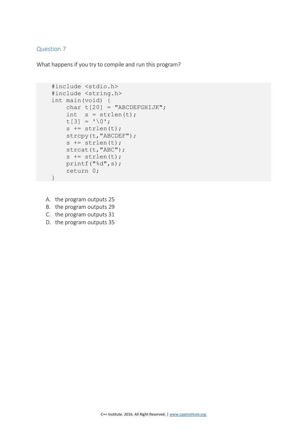```
 #include <stdio.h>
     #include <string.h>
     int main(void) { 
        char t[20] = "ABCDEFGHIJK";
       int s = strlen(t);
       t[3] = ' \0';s += strlen(t);
         strcpy(t,"ABCDEF"); 
        s += strlen(t);
         strcat(t,"ABC"); 
        s += strlen(t);
         printf("%d",s); 
         return 0; 
 }
```
- A. the program outputs 25
- B. the program outputs 29
- C. the program outputs 31
- D. the program outputs 35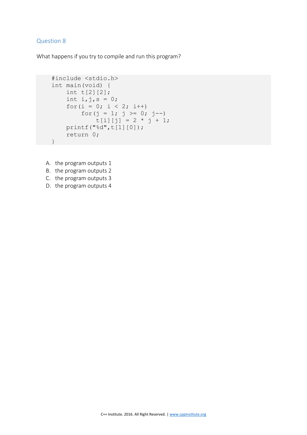```
 #include <stdio.h>
    int main(void) { 
       int t[2][2];
       int i, j, s = 0;for(i = 0; i < 2; i++)
            for(j = 1; j >= 0; j--)
               t[i][j] = 2 * j + 1; printf("%d",t[1][0]); 
        return 0; 
 }
```
- A. the program outputs 1
- B. the program outputs 2
- C. the program outputs 3
- D. the program outputs 4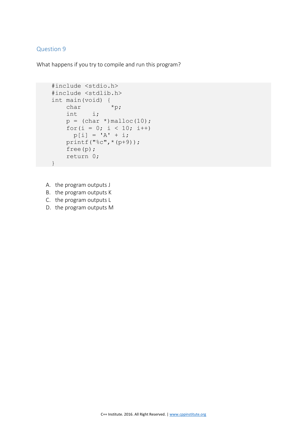```
 #include <stdio.h>
    #include <stdlib.h>
    int main(void) { 
char *p;
 int i; 
       p = (char *)<i>mathb>malloc(10)</i>;for(i = 0; i < 10; i++)
        p[i] = 'A' + i; printf("%c",*(p+9)); 
        free(p); 
        return 0; 
 }
```
- A. the program outputs J
- B. the program outputs K
- C. the program outputs L
- D. the program outputs M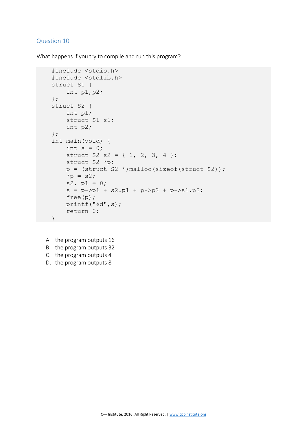What happens if you try to compile and run this program?

```
 #include <stdio.h>
     #include <stdlib.h>
     struct S1 { 
         int p1,p2; 
     }; 
     struct S2 { 
         int p1; 
         struct S1 s1; 
         int p2; 
     }; 
     int main(void) { 
        int s = 0;
        struct S2 S2 = \{ 1, 2, 3, 4 \};
         struct S2 *p; 
        p = (struct S2 *)malloc(sizeof(struct S2));
        *_{p} = s2;
        s2. p1 = 0;s = p->p1 + s2.p1 + p->p2 + p->s1.p2; free(p); 
         printf("%d",s); 
         return 0; 
 }
```
A. the program outputs 16 B. the program outputs 32 C. the program outputs 4 D. the program outputs 8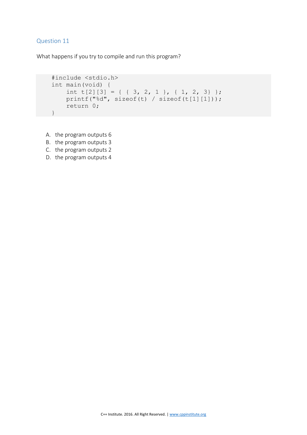```
 #include <stdio.h>
 int main(void) { 
   int t[2][3] = { { 3, 2, 1 }, { 1, 2, 3} };
    printf("%d", sizeof(t) / sizeof(t[1][1]));
     return 0; 
 }
```
- A. the program outputs 6
- B. the program outputs 3
- C. the program outputs 2
- D. the program outputs 4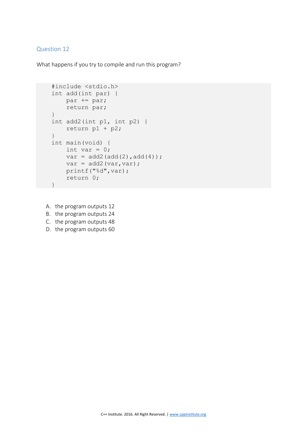```
 #include <stdio.h>
 int add(int par) { 
    par += par; 
     return par; 
 } 
 int add2(int p1, int p2) { 
     return p1 + p2; 
 } 
 int main(void) { 
   int var = 0;
    var = add2(add(2), add(4));var = add2(var, var); printf("%d",var); 
     return 0; 
 }
```
- A. the program outputs 12
- B. the program outputs 24
- C. the program outputs 48
- D. the program outputs 60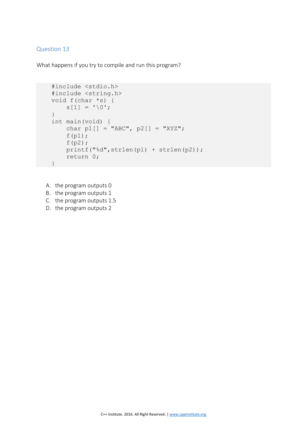What happens if you try to compile and run this program?

```
 #include <stdio.h>
     #include <string.h>
     void f(char *s) { 
        s[1] = ' \ 0'; } 
    int main(void) { 
        char p1[] = "ABC", p2[] = "XYZ";f(p1);f(p2); printf("%d",strlen(p1) + strlen(p2)); 
         return 0; 
 }
```
A. the program outputs 0 B. the program outputs 1 C. the program outputs 1.5 D. the program outputs 2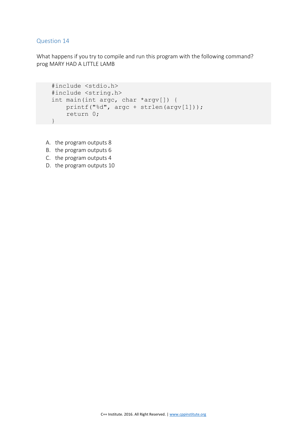What happens if you try to compile and run this program with the following command? prog MARY HAD A LITTLE LAMB

```
 #include <stdio.h>
 #include <string.h>
 int main(int argc, char *argv[]) { 
    printf("%d", argc + strlen(argv[1]));
    return 0; 
 }
```
A. the program outputs 8

- B. the program outputs 6
- C. the program outputs 4
- D. the program outputs 10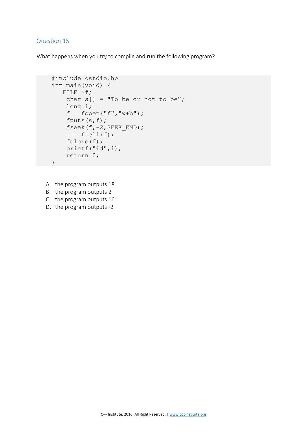What happens when you try to compile and run the following program?

```
 #include <stdio.h>
    int main(void) { 
      FILE *f;char s[] = "To be or not to be"; long i; 
        f = fopen("f", "w+b"); fputs(s,f); 
         fseek(f,-2,SEEK_END); 
        i = ftell(f);
         fclose(f); 
        printf("%d",i); 
         return 0; 
 }
```
- A. the program outputs 18
- B. the program outputs 2
- C. the program outputs 16
- D. the program outputs -2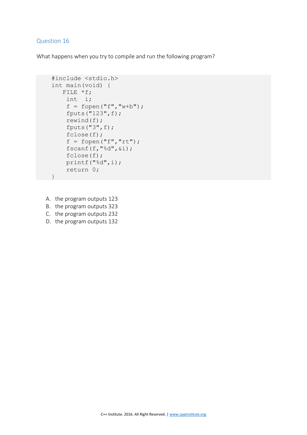What happens when you try to compile and run the following program?

```
 #include <stdio.h>
     int main(void) { 
        FILE *f; 
         int i; 
        f = fopen("f", "w+b"); fputs("123",f); 
         rewind(f); 
         fputs("3",f); 
         fclose(f); 
        f = fopen("f", "rt"); fscanf(f,"%d",&i); 
         fclose(f); 
         printf("%d",i); 
         return 0; 
 }
```
- A. the program outputs 123
- B. the program outputs 323
- C. the program outputs 232
- D. the program outputs 132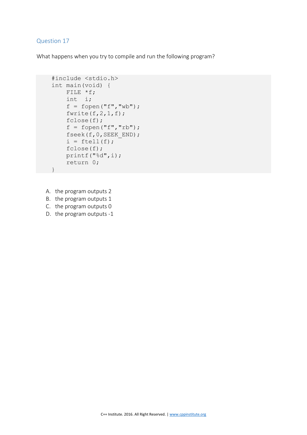What happens when you try to compile and run the following program?

```
 #include <stdio.h>
     int main(void) { 
         FILE *f; 
         int i; 
        f = fopen("f", "wb");fwrite(f, 2, 1, f);
         fclose(f); 
        f = fopen("f", "rb"); fseek(f,0,SEEK_END); 
        i = ftell(f);
         fclose(f); 
         printf("%d",i); 
         return 0; 
 }
```
A. the program outputs 2

B. the program outputs 1

C. the program outputs 0

D. the program outputs -1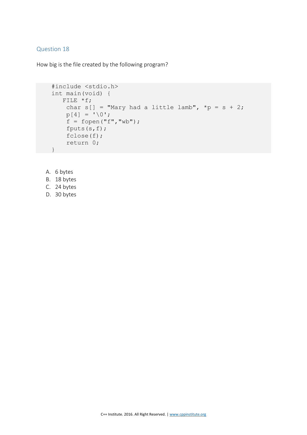How big is the file created by the following program?

```
 #include <stdio.h>
 int main(void) { 
   FILE *f; 
    char s[] = "Mary had a little lambda", *p = s + 2;p[4] = ' \ 0';f = fopen("f", "wb"); fputs(s,f); 
     fclose(f); 
     return 0; 
 }
```
- A. 6 bytes
- B. 18 bytes
- C. 24 bytes
- D. 30 bytes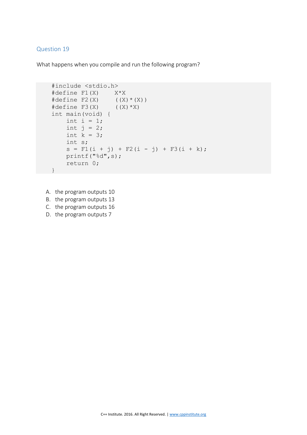What happens when you compile and run the following program?

```
 #include <stdio.h>
    #define F1(X) X*X 
\#\text{define } F2(X) ((X) * (X))
#define F3(X) ((X) * X) int main(void) {
       int i = 1;int j = 2;
       int k = 3; int s; 
       s = F1(i + j) + F2(i - j) + F3(i + k); printf("%d",s); 
        return 0; 
     }
```
A. the program outputs 10

B. the program outputs 13

C. the program outputs 16

D. the program outputs 7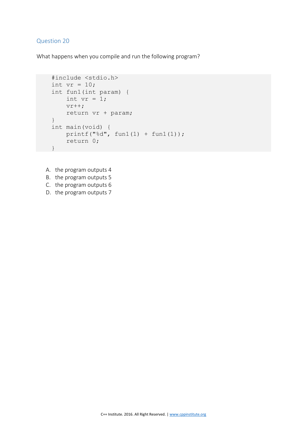What happens when you compile and run the following program?

```
 #include <stdio.h>
int vr = 10;
 int fun1(int param) { 
   int vr = 1;v + +;
     return vr + param; 
 } 
 int main(void) {
   printf("d", fun1(1) + fun1(1)); return 0;
 }
```
- A. the program outputs 4
- B. the program outputs 5
- C. the program outputs 6
- D. the program outputs 7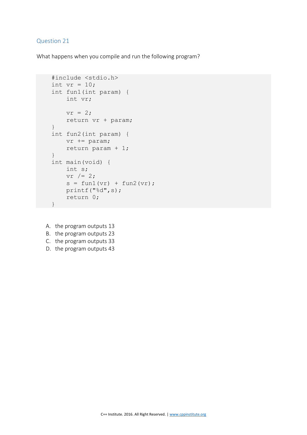What happens when you compile and run the following program?

```
 #include <stdio.h>
    int vr = 10;
     int fun1(int param) { 
          int vr; 
         vr = 2; return vr + param; 
     } 
     int fun2(int param) { 
         vr += param; 
          return param + 1; 
     } 
     int main(void) { 
         int s; 
         vr /= 2;s = \text{funl(vr)} + \text{funl(vr)};
          printf("%d",s); 
          return 0; 
 }
```
- A. the program outputs 13
- B. the program outputs 23
- C. the program outputs 33
- D. the program outputs 43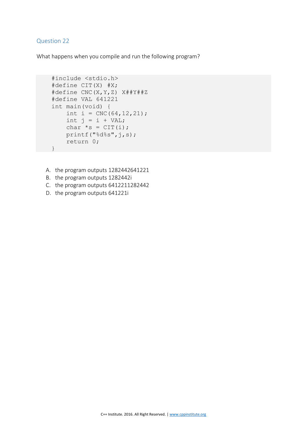What happens when you compile and run the following program?

```
 #include <stdio.h>
     #define CIT(X) #X; 
     #define CNC(X,Y,Z) X##Y##Z 
     #define VAL 641221 
     int main(void) { 
        int i = CNC(64, 12, 21);
        int j = i + VAL;
        char *_{S} = \text{CIT}(i); printf("%d%s",j,s); 
         return 0; 
 }
```
- A. the program outputs 1282442641221
- B. the program outputs 1282442i
- C. the program outputs 6412211282442
- D. the program outputs 641221i